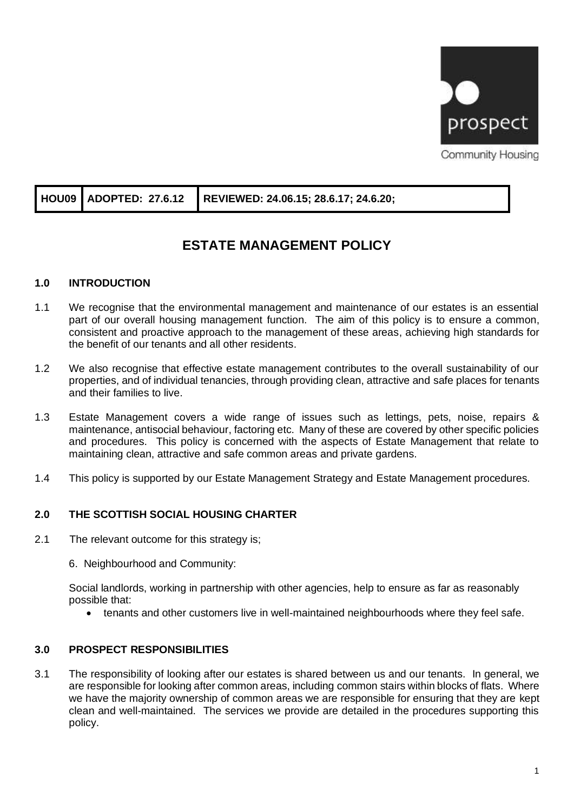

|  | <b>COMMUNIST FOUSING</b> |  |
|--|--------------------------|--|
|  |                          |  |

# **HOU09 ADOPTED: 27.6.12 REVIEWED: 24.06.15; 28.6.17; 24.6.20;**

## **ESTATE MANAGEMENT POLICY**

## **1.0 INTRODUCTION**

- 1.1 We recognise that the environmental management and maintenance of our estates is an essential part of our overall housing management function. The aim of this policy is to ensure a common, consistent and proactive approach to the management of these areas, achieving high standards for the benefit of our tenants and all other residents.
- 1.2 We also recognise that effective estate management contributes to the overall sustainability of our properties, and of individual tenancies, through providing clean, attractive and safe places for tenants and their families to live.
- 1.3 Estate Management covers a wide range of issues such as lettings, pets, noise, repairs & maintenance, antisocial behaviour, factoring etc. Many of these are covered by other specific policies and procedures. This policy is concerned with the aspects of Estate Management that relate to maintaining clean, attractive and safe common areas and private gardens.
- 1.4 This policy is supported by our Estate Management Strategy and Estate Management procedures.

## **2.0 THE SCOTTISH SOCIAL HOUSING CHARTER**

- 2.1 The relevant outcome for this strategy is;
	- 6. Neighbourhood and Community:

Social landlords, working in partnership with other agencies, help to ensure as far as reasonably possible that:

• tenants and other customers live in well-maintained neighbourhoods where they feel safe.

## **3.0 PROSPECT RESPONSIBILITIES**

3.1 The responsibility of looking after our estates is shared between us and our tenants. In general, we are responsible for looking after common areas, including common stairs within blocks of flats. Where we have the majority ownership of common areas we are responsible for ensuring that they are kept clean and well-maintained. The services we provide are detailed in the procedures supporting this policy.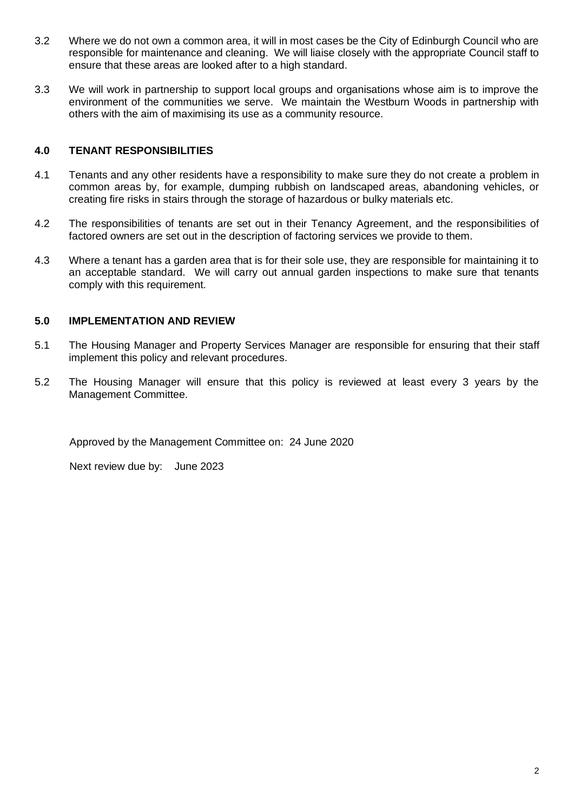- 3.2 Where we do not own a common area, it will in most cases be the City of Edinburgh Council who are responsible for maintenance and cleaning. We will liaise closely with the appropriate Council staff to ensure that these areas are looked after to a high standard.
- 3.3 We will work in partnership to support local groups and organisations whose aim is to improve the environment of the communities we serve. We maintain the Westburn Woods in partnership with others with the aim of maximising its use as a community resource.

## **4.0 TENANT RESPONSIBILITIES**

- 4.1 Tenants and any other residents have a responsibility to make sure they do not create a problem in common areas by, for example, dumping rubbish on landscaped areas, abandoning vehicles, or creating fire risks in stairs through the storage of hazardous or bulky materials etc.
- 4.2 The responsibilities of tenants are set out in their Tenancy Agreement, and the responsibilities of factored owners are set out in the description of factoring services we provide to them.
- 4.3 Where a tenant has a garden area that is for their sole use, they are responsible for maintaining it to an acceptable standard. We will carry out annual garden inspections to make sure that tenants comply with this requirement.

## **5.0 IMPLEMENTATION AND REVIEW**

- 5.1 The Housing Manager and Property Services Manager are responsible for ensuring that their staff implement this policy and relevant procedures.
- 5.2 The Housing Manager will ensure that this policy is reviewed at least every 3 years by the Management Committee.

Approved by the Management Committee on: 24 June 2020

Next review due by: June 2023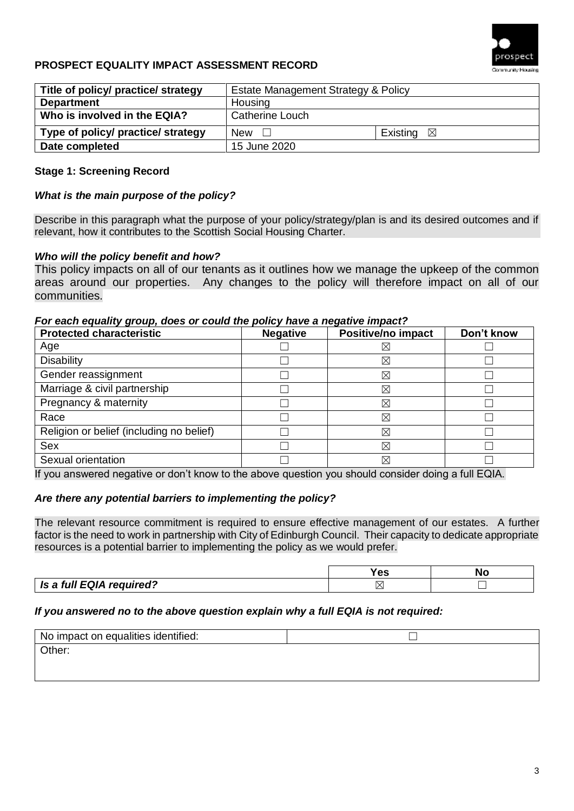

## **PROSPECT EQUALITY IMPACT ASSESSMENT RECORD**

| Title of policy/ practice/ strategy | Estate Management Strategy & Policy |                      |  |
|-------------------------------------|-------------------------------------|----------------------|--|
| <b>Department</b>                   | Housing                             |                      |  |
| Who is involved in the EQIA?        | Catherine Louch                     |                      |  |
| Type of policy/ practice/ strategy  | New<br>$\perp$                      | Existing $\boxtimes$ |  |
| Date completed                      | 15 June 2020                        |                      |  |

#### **Stage 1: Screening Record**

#### *What is the main purpose of the policy?*

Describe in this paragraph what the purpose of your policy/strategy/plan is and its desired outcomes and if relevant, how it contributes to the Scottish Social Housing Charter.

#### *Who will the policy benefit and how?*

This policy impacts on all of our tenants as it outlines how we manage the upkeep of the common areas around our properties. Any changes to the policy will therefore impact on all of our communities.

#### *For each equality group, does or could the policy have a negative impact?*

| <b>Protected characteristic</b>          | <b>Negative</b> | Positive/no impact | Don't know |
|------------------------------------------|-----------------|--------------------|------------|
| Age                                      |                 | $\boxtimes$        |            |
| <b>Disability</b>                        |                 | $\boxtimes$        |            |
| Gender reassignment                      |                 | $\boxtimes$        |            |
| Marriage & civil partnership             |                 | $\boxtimes$        |            |
| Pregnancy & maternity                    |                 | $\boxtimes$        |            |
| Race                                     |                 | $\boxtimes$        |            |
| Religion or belief (including no belief) |                 | ⊠                  |            |
| <b>Sex</b>                               |                 | $\boxtimes$        |            |
| Sexual orientation                       |                 | $\boxtimes$        |            |

If you answered negative or don't know to the above question you should consider doing a full EQIA.

#### *Are there any potential barriers to implementing the policy?*

The relevant resource commitment is required to ensure effective management of our estates. A further factor is the need to work in partnership with City of Edinburgh Council. Their capacity to dedicate appropriate resources is a potential barrier to implementing the policy as we would prefer.

|                          | -- |  |
|--------------------------|----|--|
| Is a full EQIA required? |    |  |

#### *If you answered no to the above question explain why a full EQIA is not required:*

| No impact on equalities identified: |  |
|-------------------------------------|--|
| Other:                              |  |
|                                     |  |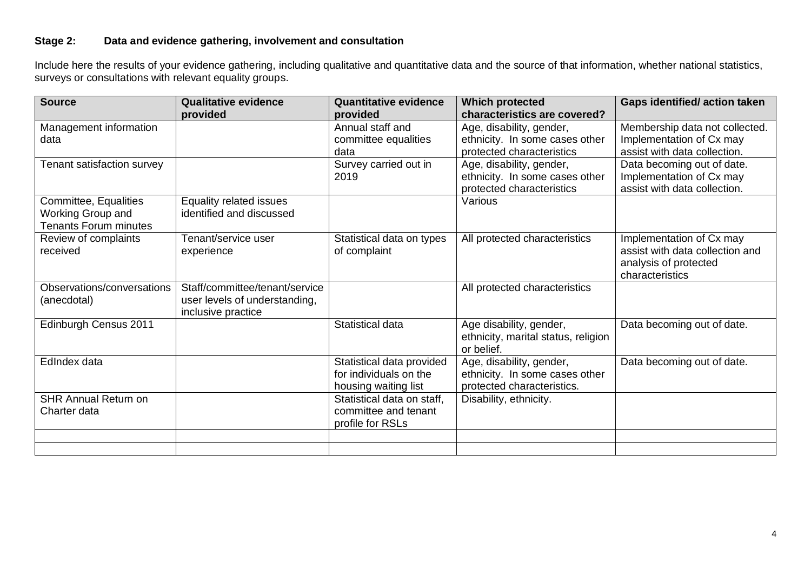## **Stage 2: Data and evidence gathering, involvement and consultation**

Include here the results of your evidence gathering, including qualitative and quantitative data and the source of that information, whether national statistics, surveys or consultations with relevant equality groups.

| <b>Source</b>                                                              | <b>Qualitative evidence</b><br>provided                                               | <b>Quantitative evidence</b><br>provided                                    | <b>Which protected</b><br>characteristics are covered?                                   | <b>Gaps identified/action taken</b>                                                                     |
|----------------------------------------------------------------------------|---------------------------------------------------------------------------------------|-----------------------------------------------------------------------------|------------------------------------------------------------------------------------------|---------------------------------------------------------------------------------------------------------|
| Management information<br>data                                             |                                                                                       | Annual staff and<br>committee equalities<br>data                            | Age, disability, gender,<br>ethnicity. In some cases other<br>protected characteristics  | Membership data not collected.<br>Implementation of Cx may<br>assist with data collection.              |
| Tenant satisfaction survey                                                 |                                                                                       | Survey carried out in<br>2019                                               | Age, disability, gender,<br>ethnicity. In some cases other<br>protected characteristics  | Data becoming out of date.<br>Implementation of Cx may<br>assist with data collection.                  |
| Committee, Equalities<br>Working Group and<br><b>Tenants Forum minutes</b> | Equality related issues<br>identified and discussed                                   |                                                                             | Various                                                                                  |                                                                                                         |
| Review of complaints<br>received                                           | Tenant/service user<br>experience                                                     | Statistical data on types<br>of complaint                                   | All protected characteristics                                                            | Implementation of Cx may<br>assist with data collection and<br>analysis of protected<br>characteristics |
| Observations/conversations<br>(anecdotal)                                  | Staff/committee/tenant/service<br>user levels of understanding,<br>inclusive practice |                                                                             | All protected characteristics                                                            |                                                                                                         |
| Edinburgh Census 2011                                                      |                                                                                       | Statistical data                                                            | Age disability, gender,<br>ethnicity, marital status, religion<br>or belief.             | Data becoming out of date.                                                                              |
| EdIndex data                                                               |                                                                                       | Statistical data provided<br>for individuals on the<br>housing waiting list | Age, disability, gender,<br>ethnicity. In some cases other<br>protected characteristics. | Data becoming out of date.                                                                              |
| <b>SHR Annual Return on</b><br>Charter data                                |                                                                                       | Statistical data on staff,<br>committee and tenant<br>profile for RSLs      | Disability, ethnicity.                                                                   |                                                                                                         |
|                                                                            |                                                                                       |                                                                             |                                                                                          |                                                                                                         |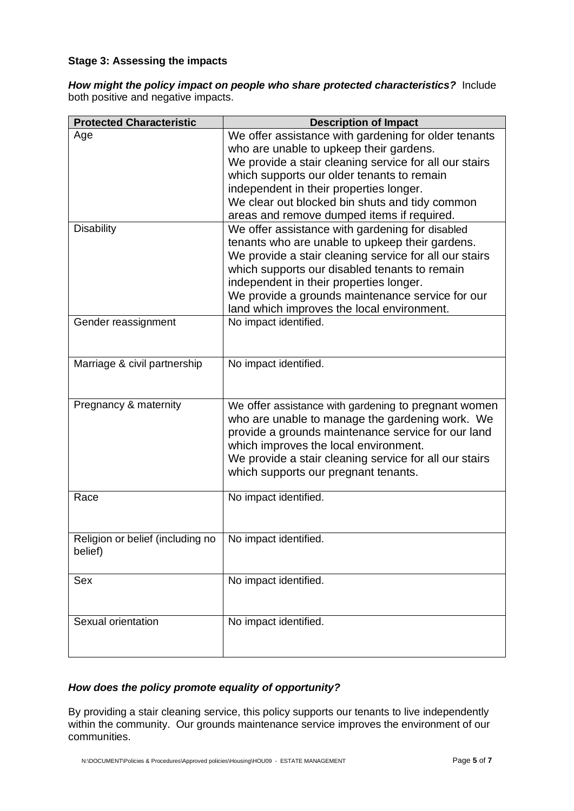#### **Stage 3: Assessing the impacts**

*How might the policy impact on people who share protected characteristics?*Include both positive and negative impacts.

| <b>Protected Characteristic</b>             | <b>Description of Impact</b>                                                                                                                                                                                                                                                                                                                               |
|---------------------------------------------|------------------------------------------------------------------------------------------------------------------------------------------------------------------------------------------------------------------------------------------------------------------------------------------------------------------------------------------------------------|
| Age                                         | We offer assistance with gardening for older tenants<br>who are unable to upkeep their gardens.<br>We provide a stair cleaning service for all our stairs<br>which supports our older tenants to remain<br>independent in their properties longer.<br>We clear out blocked bin shuts and tidy common<br>areas and remove dumped items if required.         |
| <b>Disability</b>                           | We offer assistance with gardening for disabled<br>tenants who are unable to upkeep their gardens.<br>We provide a stair cleaning service for all our stairs<br>which supports our disabled tenants to remain<br>independent in their properties longer.<br>We provide a grounds maintenance service for our<br>land which improves the local environment. |
| Gender reassignment                         | No impact identified.                                                                                                                                                                                                                                                                                                                                      |
| Marriage & civil partnership                | No impact identified.                                                                                                                                                                                                                                                                                                                                      |
| Pregnancy & maternity                       | We offer assistance with gardening to pregnant women<br>who are unable to manage the gardening work. We<br>provide a grounds maintenance service for our land<br>which improves the local environment.<br>We provide a stair cleaning service for all our stairs<br>which supports our pregnant tenants.                                                   |
| Race                                        | No impact identified.                                                                                                                                                                                                                                                                                                                                      |
| Religion or belief (including no<br>belief) | No impact identified.                                                                                                                                                                                                                                                                                                                                      |
| Sex                                         | No impact identified.                                                                                                                                                                                                                                                                                                                                      |
| Sexual orientation                          | No impact identified.                                                                                                                                                                                                                                                                                                                                      |

## *How does the policy promote equality of opportunity?*

By providing a stair cleaning service, this policy supports our tenants to live independently within the community. Our grounds maintenance service improves the environment of our communities.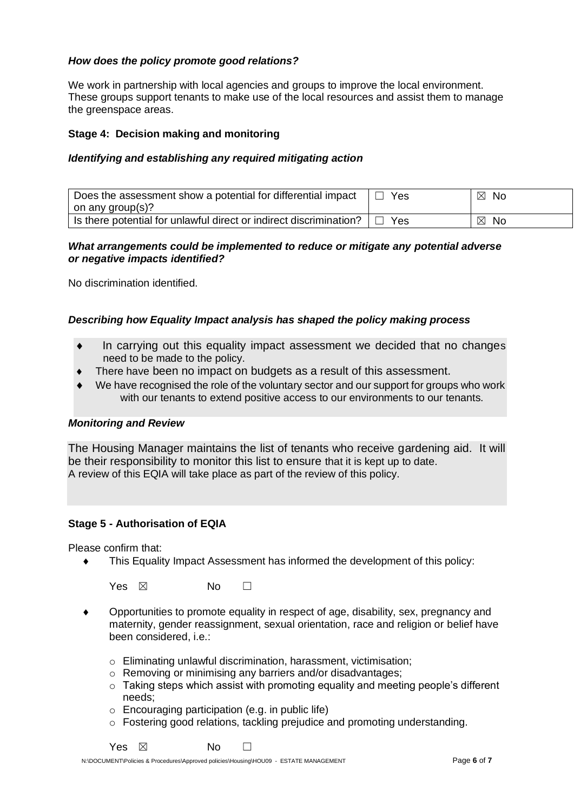## *How does the policy promote good relations?*

We work in partnership with local agencies and groups to improve the local environment. These groups support tenants to make use of the local resources and assist them to manage the greenspace areas.

## **Stage 4: Decision making and monitoring**

#### *Identifying and establishing any required mitigating action*

| Does the assessment show a potential for differential impact       | Yes | No.<br>⊠           |
|--------------------------------------------------------------------|-----|--------------------|
| on any group(s)?                                                   |     |                    |
| Is there potential for unlawful direct or indirect discrimination? | Yes | $\boxtimes$<br>No. |

#### *What arrangements could be implemented to reduce or mitigate any potential adverse or negative impacts identified?*

No discrimination identified.

#### *Describing how Equality Impact analysis has shaped the policy making process*

- In carrying out this equality impact assessment we decided that no changes need to be made to the policy.
- There have been no impact on budgets as a result of this assessment.
- We have recognised the role of the voluntary sector and our support for groups who work with our tenants to extend positive access to our environments to our tenants.

#### *Monitoring and Review*

The Housing Manager maintains the list of tenants who receive gardening aid. It will be their responsibility to monitor this list to ensure that it is kept up to date. A review of this EQIA will take place as part of the review of this policy.

#### **Stage 5 - Authorisation of EQIA**

Please confirm that:

This Equality Impact Assessment has informed the development of this policy:

Yes  $\boxtimes$  No  $\Box$ 

- Opportunities to promote equality in respect of age, disability, sex, pregnancy and maternity, gender reassignment, sexual orientation, race and religion or belief have been considered, i.e.:
	- o Eliminating unlawful discrimination, harassment, victimisation;
	- $\circ$  Removing or minimising any barriers and/or disadvantages;
	- $\circ$  Taking steps which assist with promoting equality and meeting people's different needs;
	- $\circ$  Encouraging participation (e.g. in public life)
	- o Fostering good relations, tackling prejudice and promoting understanding.

 $Yes \ \boxtimes \ \blacksquare$